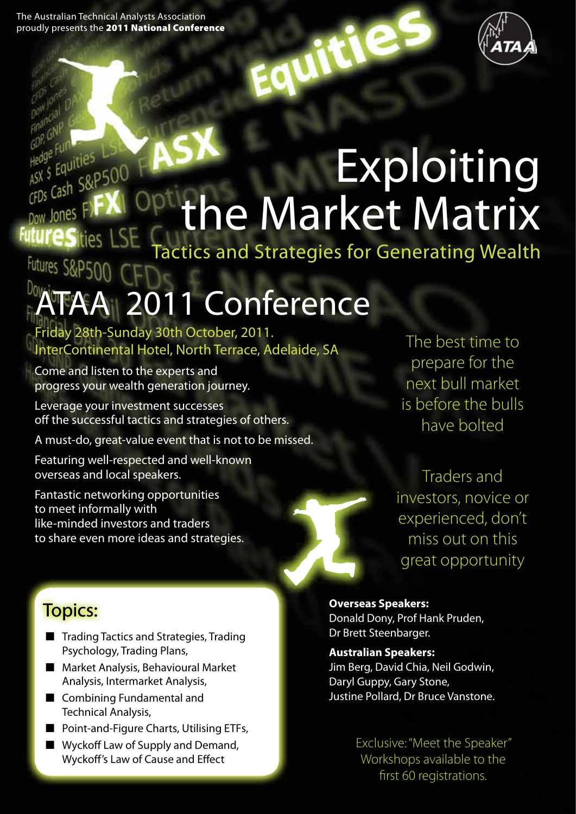GDP or Funkties L.S<br>Hedge Funkties L.S<br>ASX \$ Equities L.S

Dow Jones

**ASX S Equities**<br>CFDs Cash S&P500



# Exploiting the Market Matrix

actics and Strategies for Generating Wealth Futures<sub>S</sub>

# 2011 Conference

Friday 28th-Sunday 30th October, 2011. InterContinental Hotel, North Terrace, Adelaide, SA

Come and listen to the experts and progress your wealth generation journey.

Leverage your investment successes off the successful tactics and strategies of others.

A must-do, great-value event that is not to be missed.

Featuring well-respected and well-known overseas and local speakers.

Fantastic networking opportunities to meet informally with like-minded investors and traders to share even more ideas and strategies.

The best time to prepare for the next bull market is before the bulls have bolted

Traders and investors, novice or experienced, don't miss out on this great opportunity

# Topics:

- Trading Tactics and Strategies, Trading Psychology, Trading Plans,
- Market Analysis, Behavioural Market Analysis, Intermarket Analysis,
- Combining Fundamental and Technical Analysis,
- Point-and-Figure Charts, Utilising ETFs,
- Wyckoff Law of Supply and Demand, Wyckoff's Law of Cause and Effect

**Overseas Speakers:**

Donald Dony, Prof Hank Pruden, Dr Brett Steenbarger.

#### **Australian Speakers:**

Jim Berg, David Chia, Neil Godwin, Daryl Guppy, Gary Stone, Justine Pollard, Dr Bruce Vanstone.

> Exclusive: "Meet the Speaker" Workshops available to the first 60 registrations.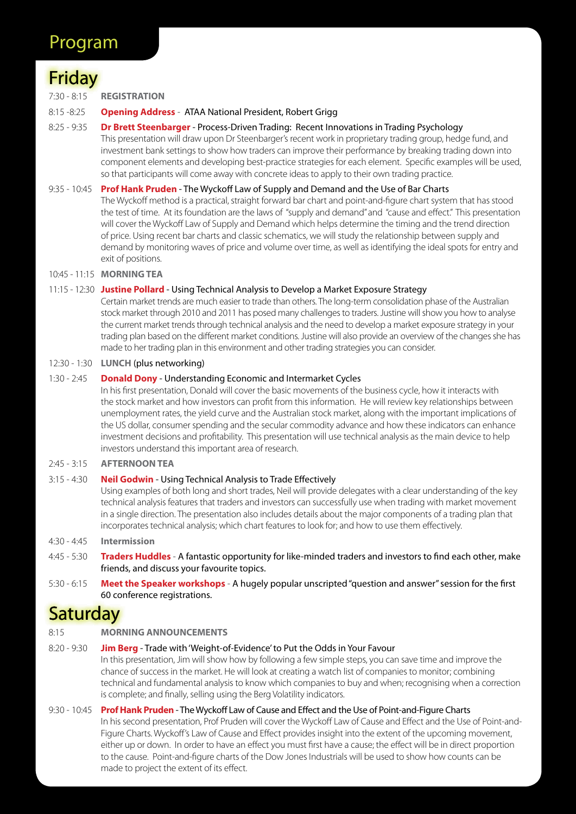# Friday

7:30 - 8:15 **REGISTRATION**

#### 8:15 -8:25 **Opening Address** - ATAA National President, Robert Grigg

8:25 - 9:35 **Dr Brett Steenbarger** - Process-Driven Trading: Recent Innovations in Trading Psychology This presentation will draw upon Dr Steenbarger's recent work in proprietary trading group, hedge fund, and investment bank settings to show how traders can improve their performance by breaking trading down into component elements and developing best-practice strategies for each element. Specific examples will be used, so that participants will come away with concrete ideas to apply to their own trading practice.

#### 9:35 - 10:45 **Prof Hank Pruden** - The Wyckoff Law of Supply and Demand and the Use of Bar Charts

The Wyckoff method is a practical, straight forward bar chart and point-and-figure chart system that has stood the test of time. At its foundation are the laws of "supply and demand" and "cause and effect." This presentation will cover the Wyckoff Law of Supply and Demand which helps determine the timing and the trend direction of price. Using recent bar charts and classic schematics, we will study the relationship between supply and demand by monitoring waves of price and volume over time, as well as identifying the ideal spots for entry and exit of positions.

10:45 - 11:15 **MORNING TEA**

#### 11:15 - 12:30 **Justine Pollard** - Using Technical Analysis to Develop a Market Exposure Strategy

Certain market trends are much easier to trade than others. The long-term consolidation phase of the Australian stock market through 2010 and 2011 has posed many challenges to traders. Justine will show you how to analyse the current market trends through technical analysis and the need to develop a market exposure strategy in your trading plan based on the different market conditions. Justine will also provide an overview of the changes she has made to her trading plan in this environment and other trading strategies you can consider.

#### 12:30 - 1:30 **LUNCH** (plus networking)

#### 1:30 - 2:45 **Donald Dony** - Understanding Economic and Intermarket Cycles

In his first presentation, Donald will cover the basic movements of the business cycle, how it interacts with the stock market and how investors can profit from this information. He will review key relationships between unemployment rates, the yield curve and the Australian stock market, along with the important implications of the US dollar, consumer spending and the secular commodity advance and how these indicators can enhance investment decisions and profitability. This presentation will use technical analysis as the main device to help investors understand this important area of research.

#### 2:45 - 3:15 **AFTERNOON TEA**

#### 3:15 - 4:30 **Neil Godwin** - Using Technical Analysis to Trade Effectively

Using examples of both long and short trades, Neil will provide delegates with a clear understanding of the key technical analysis features that traders and investors can successfully use when trading with market movement in a single direction. The presentation also includes details about the major components of a trading plan that incorporates technical analysis; which chart features to look for; and how to use them effectively.

#### 4:30 - 4:45 **Intermission**

- 4:45 5:30 **Traders Huddles** A fantastic opportunity for like-minded traders and investors to find each other, make friends, and discuss your favourite topics.
- 5:30 6:15 **Meet the Speaker workshops** A hugely popular unscripted "question and answer" session for the first 60 conference registrations.

## **Saturday**

8:15 **MORNING ANNOUNCEMENTS**

#### 8:20 - 9:30 **Jim Berg** - Trade with 'Weight-of-Evidence' to Put the Odds in Your Favour

In this presentation, Jim will show how by following a few simple steps, you can save time and improve the chance of success in the market. He will look at creating a watch list of companies to monitor; combining technical and fundamental analysis to know which companies to buy and when; recognising when a correction is complete; and finally, selling using the Berg Volatility indicators.

#### 9:30 - 10:45 **Prof Hank Pruden** - The Wyckoff Law of Cause and Effect and the Use of Point-and-Figure Charts

In his second presentation, Prof Pruden will cover the Wyckoff Law of Cause and Effect and the Use of Point-and-Figure Charts. Wyckoff's Law of Cause and Effect provides insight into the extent of the upcoming movement, either up or down. In order to have an effect you must first have a cause; the effect will be in direct proportion to the cause. Point-and-figure charts of the Dow Jones Industrials will be used to show how counts can be made to project the extent of its effect.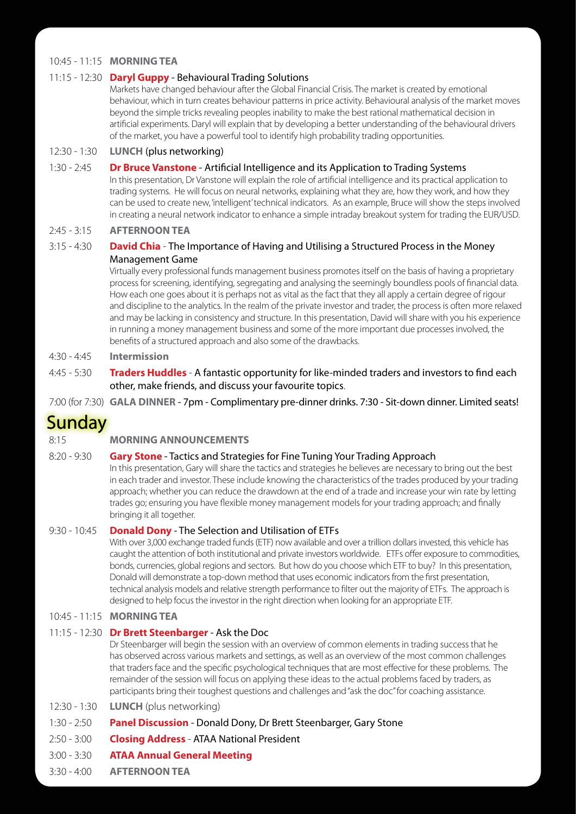## 10:45 - 11:15 **MORNING TEA**

### 11:15 - 12:30 **Daryl Guppy** - Behavioural Trading Solutions

Markets have changed behaviour after the Global Financial Crisis. The market is created by emotional behaviour, which in turn creates behaviour patterns in price activity. Behavioural analysis of the market moves beyond the simple tricks revealing peoples inability to make the best rational mathematical decision in artificial experiments. Daryl will explain that by developing a better understanding of the behavioural drivers of the market, you have a powerful tool to identify high probability trading opportunities.

### 12:30 - 1:30 **LUNCH** (plus networking)

#### 1:30 - 2:45 **Dr Bruce Vanstone** - Artificial Intelligence and its Application to Trading Systems

In this presentation, Dr Vanstone will explain the role of artificial intelligence and its practical application to trading systems. He will focus on neural networks, explaining what they are, how they work, and how they can be used to create new, 'intelligent' technical indicators. As an example, Bruce will show the steps involved in creating a neural network indicator to enhance a simple intraday breakout system for trading the EUR/USD.

### 2:45 - 3:15 **AFTERNOON TEA**

#### 3:15 - 4:30 **David Chia** - The Importance of Having and Utilising a Structured Process in the Money Management Game

Virtually every professional funds management business promotes itself on the basis of having a proprietary process for screening, identifying, segregating and analysing the seemingly boundless pools of financial data. How each one goes about it is perhaps not as vital as the fact that they all apply a certain degree of rigour and discipline to the analytics. In the realm of the private investor and trader, the process is often more relaxed and may be lacking in consistency and structure. In this presentation, David will share with you his experience in running a money management business and some of the more important due processes involved, the benefits of a structured approach and also some of the drawbacks.

## 4:30 - 4:45 **Intermission**

4:45 - 5:30 **Traders Huddles** - A fantastic opportunity for like-minded traders and investors to find each other, make friends, and discuss your favourite topics.

7:00 (for 7:30) **GALA DINNER** - 7pm - Complimentary pre-dinner drinks. 7:30 - Sit-down dinner. Limited seats!

# **Sunday**

8:15 **MORNING ANNOUNCEMENTS**

#### 8:20 - 9:30 **Gary Stone** - Tactics and Strategies for Fine Tuning Your Trading Approach

In this presentation, Gary will share the tactics and strategies he believes are necessary to bring out the best in each trader and investor. These include knowing the characteristics of the trades produced by your trading approach; whether you can reduce the drawdown at the end of a trade and increase your win rate by letting trades go; ensuring you have flexible money management models for your trading approach; and finally bringing it all together.

#### 9:30 - 10:45 **Donald Dony** - The Selection and Utilisation of ETFs

With over 3,000 exchange traded funds (ETF) now available and over a trillion dollars invested, this vehicle has caught the attention of both institutional and private investors worldwide. ETFs offer exposure to commodities, bonds, currencies, global regions and sectors. But how do you choose which ETF to buy? In this presentation, Donald will demonstrate a top-down method that uses economic indicators from the first presentation, technical analysis models and relative strength performance to filter out the majority of ETFs. The approach is designed to help focus the investor in the right direction when looking for an appropriate ETF.

## 10:45 - 11:15 **MORNING TEA**

#### 11:15 - 12:30 **Dr Brett Steenbarger** - Ask the Doc

Dr Steenbarger will begin the session with an overview of common elements in trading success that he has observed across various markets and settings, as well as an overview of the most common challenges that traders face and the specific psychological techniques that are most effective for these problems. The remainder of the session will focus on applying these ideas to the actual problems faced by traders, as participants bring their toughest questions and challenges and "ask the doc" for coaching assistance.

- 12:30 1:30 **LUNCH** (plus networking)
- 1:30 2:50 **Panel Discussion** Donald Dony, Dr Brett Steenbarger, Gary Stone
- 2:50 3:00 **Closing Address** ATAA National President
- 3:00 3:30 **ATAA Annual General Meeting**
- 3:30 4:00 **AFTERNOON TEA**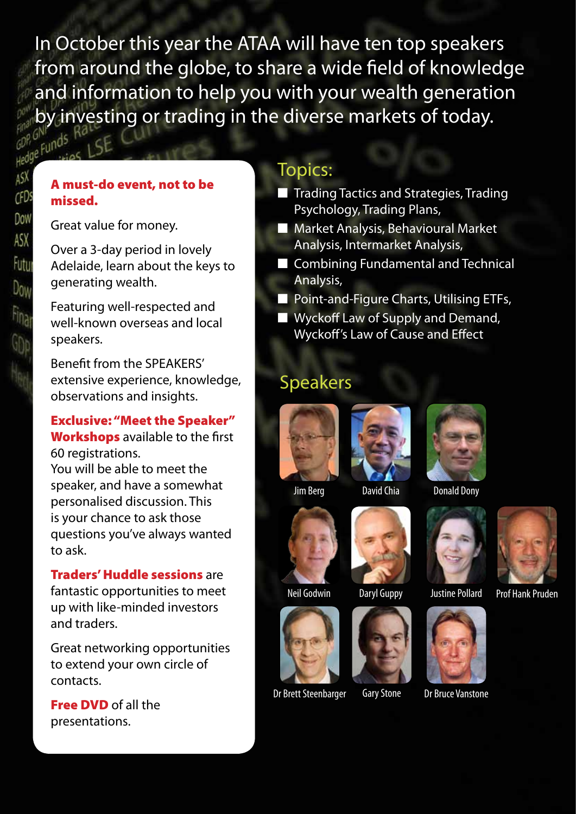In October this year the ATAA will have ten top speakers from around the globe, to share a wide field of knowledge and information to help you with your wealth generation by investing or trading in the diverse markets of today.<br>efunds

## A must-do event, not to be missed.

Great value for money.

Over a 3-day period in lovely Adelaide, learn about the keys to generating wealth.

Featuring well-respected and well-known overseas and local speakers.

Benefit from the SPEAKERS' extensive experience, knowledge, observations and insights.

## Exclusive: "Meet the Speaker" Workshops available to the first 60 registrations.

You will be able to meet the speaker, and have a somewhat personalised discussion. This is your chance to ask those questions you've always wanted to ask.

## Traders' Huddle sessions are

fantastic opportunities to meet up with like-minded investors and traders.

Great networking opportunities to extend your own circle of contacts.

Free DVD of all the presentations.

# Topics:

- Trading Tactics and Strategies, Trading Psychology, Trading Plans,
- Market Analysis, Behavioural Market Analysis, Intermarket Analysis,
- Combining Fundamental and Technical Analysis,
- Point-and-Figure Charts, Utilising ETFs,
- Wyckoff Law of Supply and Demand, Wyckoff's Law of Cause and Effect

# Speakers





Neil Godwin Daryl Guppy Justine Pollard











David Chia Donald Dony





Dr Bruce Vanstone



Daryl Guppy Justine Pollard Prof Hank Pruden





Jim Berg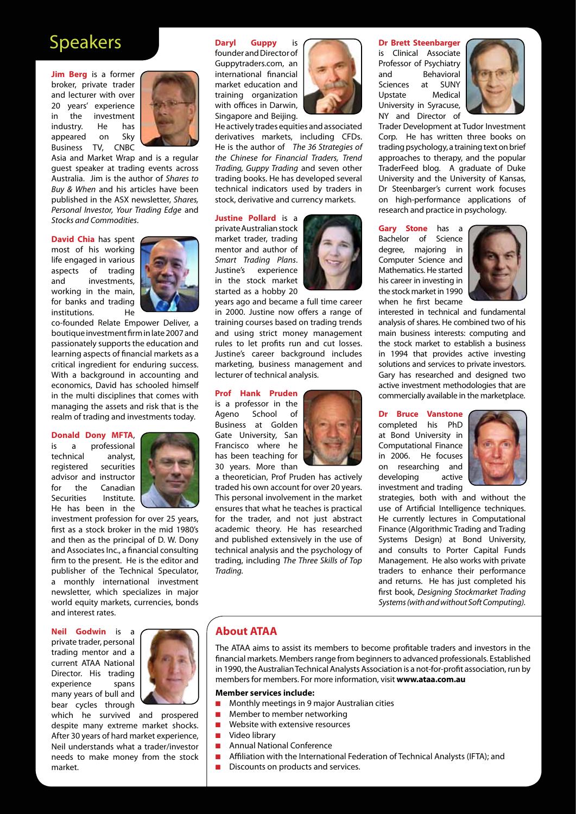# Speakers

**Jim Berg** is a former broker, private trader and lecturer with over 20 years' experience in the investment industry. He has appeared on Sky Business TV, CNBC



Asia and Market Wrap and is a regular guest speaker at trading events across Australia. Jim is the author of *Shares to Buy & When* and his articles have been published in the ASX newsletter, *Shares, Personal Investor, Your Trading Edge* and *Stocks and Commodities*.

**David Chia** has spent most of his working life engaged in various aspects of trading and investments, working in the main, for banks and trading institutions. He



co-founded Relate Empower Deliver, a boutique investment firm in late 2007 and passionately supports the education and learning aspects of financial markets as a critical ingredient for enduring success. With a background in accounting and economics, David has schooled himself in the multi disciplines that comes with managing the assets and risk that is the realm of trading and investments today.

#### **Donald Dony MFTA**,

is a professional technical analyst, registered securities advisor and instructor for the Canadian Securities Institute. He has been in the



investment profession for over 25 years, first as a stock broker in the mid 1980's and then as the principal of D. W. Dony and Associates Inc., a financial consulting firm to the present. He is the editor and publisher of the Technical Speculator, a monthly international investment newsletter, which specializes in major world equity markets, currencies, bonds and interest rates.

#### **Neil Godwin** is a

private trader, personal trading mentor and a current ATAA National Director. His trading experience spans many years of bull and bear cycles through



which he survived and prospered despite many extreme market shocks. After 30 years of hard market experience, Neil understands what a trader/investor needs to make money from the stock market.

#### **Daryl Guppy** is

founder and Director of Guppytraders.com, an international financial market education and training organization with offices in Darwin, Singapore and Beijing.



He actively trades equities and associated derivatives markets, including CFDs. He is the author of *The 36 Strategies of the Chinese for Financial Traders, Trend Trading, Guppy Trading* and seven other trading books. He has developed several technical indicators used by traders in stock, derivative and currency markets.

#### **Justine Pollard** is a

private Australian stock market trader, trading mentor and author of *Smart Trading Plans*. Justine's experience in the stock market started as a hobby 20



years ago and became a full time career in 2000. Justine now offers a range of training courses based on trading trends and using strict money management rules to let profits run and cut losses. Justine's career background includes marketing, business management and lecturer of technical analysis.

#### **Prof Hank Pruden**

is a professor in the Ageno School of Business at Golden Gate University, San Francisco where he has been teaching for 30 years. More than



a theoretician, Prof Pruden has actively traded his own account for over 20 years. This personal involvement in the market ensures that what he teaches is practical for the trader, and not just abstract academic theory. He has researched and published extensively in the use of technical analysis and the psychology of trading, including *The Three Skills of Top Trading.*

#### **Dr Brett Steenbarger**

is Clinical Associate Professor of Psychiatry and Behavioral Sciences at SUNY Upstate Medical University in Syracuse, NY and Director of



Trader Development at Tudor Investment Corp. He has written three books on trading psychology, a training text on brief approaches to therapy, and the popular TraderFeed blog. A graduate of Duke University and the University of Kansas, Dr Steenbarger's current work focuses on high-performance applications of research and practice in psychology.

**Gary Stone** has a Bachelor of Science degree, majoring in Computer Science and Mathematics. He started his career in investing in the stock market in 1990 when he first became



interested in technical and fundamental analysis of shares. He combined two of his main business interests: computing and the stock market to establish a business in 1994 that provides active investing solutions and services to private investors. Gary has researched and designed two active investment methodologies that are commercially available in the marketplace.

#### **Dr Bruce Vanstone**

completed his PhD at Bond University in Computational Finance in 2006. He focuses on researching and developing active investment and trading



strategies, both with and without the use of Artificial Intelligence techniques. He currently lectures in Computational Finance (Algorithmic Trading and Trading Systems Design) at Bond University, and consults to Porter Capital Funds Management. He also works with private traders to enhance their performance and returns. He has just completed his first book, *Designing Stockmarket Trading Systems (with and without Soft Computing).*

#### **About ATAA**

The ATAA aims to assist its members to become profitable traders and investors in the financial markets. Members range from beginners to advanced professionals. Established in 1990, the Australian Technical Analysts Association is a not-for-profit association, run by members for members. For more information, visit **www.ataa.com.au**

#### **Member services include:**

- Monthly meetings in 9 major Australian cities
- Member to member networking
- Website with extensive resources
- Video library
- Annual National Conference
- Affiliation with the International Federation of Technical Analysts (IFTA); and
- Discounts on products and services.